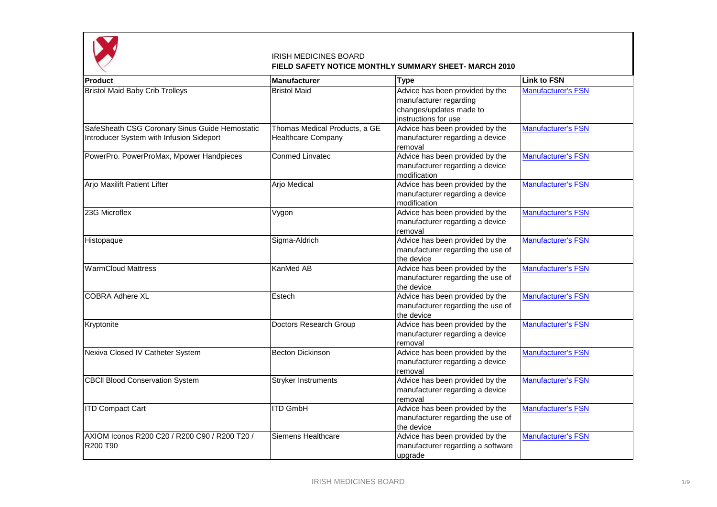

## IRISH MEDICINES BOARD **FIELD SAFETY NOTICE MONTHLY SUMMARY SHEET- MARCH 2010**

| <b>Product</b>                                 | <b>Manufacturer</b>           | <b>Type</b>                       | <b>Link to FSN</b>        |
|------------------------------------------------|-------------------------------|-----------------------------------|---------------------------|
| <b>Bristol Maid Baby Crib Trolleys</b>         | <b>Bristol Maid</b>           | Advice has been provided by the   | <b>Manufacturer's FSN</b> |
|                                                |                               | manufacturer regarding            |                           |
|                                                |                               | changes/updates made to           |                           |
|                                                |                               | instructions for use              |                           |
| SafeSheath CSG Coronary Sinus Guide Hemostatic | Thomas Medical Products, a GE | Advice has been provided by the   | <b>Manufacturer's FSN</b> |
| Introducer System with Infusion Sideport       | Healthcare Company            | manufacturer regarding a device   |                           |
|                                                |                               | removal                           |                           |
| PowerPro. PowerProMax, Mpower Handpieces       | <b>Conmed Linvatec</b>        | Advice has been provided by the   | <b>Manufacturer's FSN</b> |
|                                                |                               | manufacturer regarding a device   |                           |
|                                                |                               | modification                      |                           |
| <b>Arjo Maxilift Patient Lifter</b>            | <b>Arjo Medical</b>           | Advice has been provided by the   | <b>Manufacturer's FSN</b> |
|                                                |                               | manufacturer regarding a device   |                           |
|                                                |                               | modification                      |                           |
| 23G Microflex                                  | Vygon                         | Advice has been provided by the   | Manufacturer's FSN        |
|                                                |                               | manufacturer regarding a device   |                           |
|                                                |                               | removal                           |                           |
| Histopaque                                     | Sigma-Aldrich                 | Advice has been provided by the   | <b>Manufacturer's FSN</b> |
|                                                |                               | manufacturer regarding the use of |                           |
|                                                |                               | the device                        |                           |
| <b>WarmCloud Mattress</b>                      | KanMed AB                     | Advice has been provided by the   | <b>Manufacturer's FSN</b> |
|                                                |                               | manufacturer regarding the use of |                           |
|                                                |                               | the device                        |                           |
| <b>COBRA Adhere XL</b>                         | Estech                        | Advice has been provided by the   | Manufacturer's FSN        |
|                                                |                               | manufacturer regarding the use of |                           |
|                                                |                               | the device                        |                           |
| Kryptonite                                     | <b>Doctors Research Group</b> | Advice has been provided by the   | <b>Manufacturer's FSN</b> |
|                                                |                               | manufacturer regarding a device   |                           |
|                                                |                               | removal                           |                           |
| Nexiva Closed IV Catheter System               | <b>Becton Dickinson</b>       | Advice has been provided by the   | <b>Manufacturer's FSN</b> |
|                                                |                               | manufacturer regarding a device   |                           |
|                                                |                               | removal                           |                           |
| <b>CBCII Blood Conservation System</b>         | <b>Stryker Instruments</b>    | Advice has been provided by the   | <b>Manufacturer's FSN</b> |
|                                                |                               | manufacturer regarding a device   |                           |
|                                                |                               | removal                           |                           |
| <b>ITD Compact Cart</b>                        | <b>ITD GmbH</b>               | Advice has been provided by the   | <b>Manufacturer's FSN</b> |
|                                                |                               | manufacturer regarding the use of |                           |
|                                                |                               | the device                        |                           |
| AXIOM Iconos R200 C20 / R200 C90 / R200 T20 /  | Siemens Healthcare            | Advice has been provided by the   | <b>Manufacturer's FSN</b> |
| R200 T90                                       |                               | manufacturer regarding a software |                           |
|                                                |                               | upgrade                           |                           |
|                                                |                               |                                   |                           |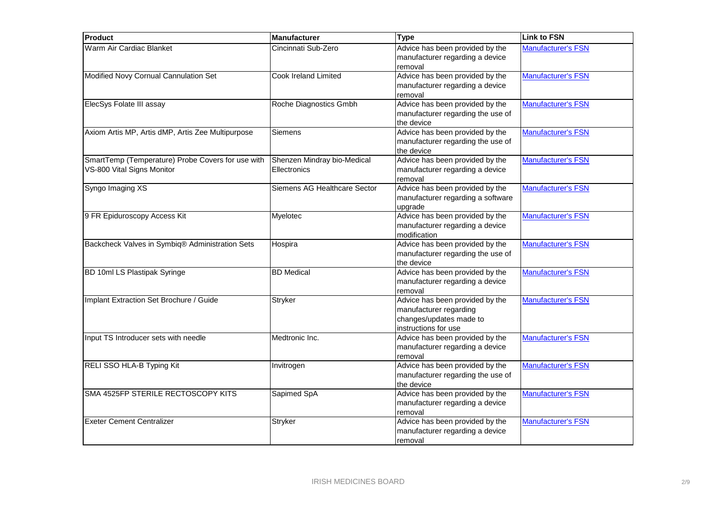| Product                                                                         | Manufacturer                                | <b>Type</b>                                                                                                  | <b>Link to FSN</b>        |
|---------------------------------------------------------------------------------|---------------------------------------------|--------------------------------------------------------------------------------------------------------------|---------------------------|
| Warm Air Cardiac Blanket                                                        | Cincinnati Sub-Zero                         | Advice has been provided by the<br>manufacturer regarding a device<br>removal                                | <b>Manufacturer's FSN</b> |
| Modified Novy Cornual Cannulation Set                                           | <b>Cook Ireland Limited</b>                 | Advice has been provided by the<br>manufacturer regarding a device<br>removal                                | <b>Manufacturer's FSN</b> |
| ElecSys Folate III assay                                                        | Roche Diagnostics Gmbh                      | Advice has been provided by the<br>manufacturer regarding the use of<br>the device                           | Manufacturer's FSN        |
| Axiom Artis MP, Artis dMP, Artis Zee Multipurpose                               | Siemens                                     | Advice has been provided by the<br>manufacturer regarding the use of<br>the device                           | Manufacturer's FSN        |
| SmartTemp (Temperature) Probe Covers for use with<br>VS-800 Vital Signs Monitor | Shenzen Mindray bio-Medical<br>Ellectronics | Advice has been provided by the<br>manufacturer regarding a device<br>removal                                | Manufacturer's FSN        |
| Syngo Imaging XS                                                                | Siemens AG Healthcare Sector                | Advice has been provided by the<br>manufacturer regarding a software<br>upgrade                              | <b>Manufacturer's FSN</b> |
| 9 FR Epiduroscopy Access Kit                                                    | Myelotec                                    | Advice has been provided by the<br>manufacturer regarding a device<br>modification                           | <b>Manufacturer's FSN</b> |
| Backcheck Valves in Symbiq® Administration Sets                                 | Hospira                                     | Advice has been provided by the<br>manufacturer regarding the use of<br>the device                           | <b>Manufacturer's FSN</b> |
| BD 10ml LS Plastipak Syringe                                                    | <b>BD</b> Medical                           | Advice has been provided by the<br>manufacturer regarding a device<br>removal                                | Manufacturer's FSN        |
| Implant Extraction Set Brochure / Guide                                         | Stryker                                     | Advice has been provided by the<br>manufacturer regarding<br>changes/updates made to<br>instructions for use | <b>Manufacturer's FSN</b> |
| Input TS Introducer sets with needle                                            | Medtronic Inc.                              | Advice has been provided by the<br>manufacturer regarding a device<br>removal                                | <b>Manufacturer's FSN</b> |
| RELI SSO HLA-B Typing Kit                                                       | Invitrogen                                  | Advice has been provided by the<br>manufacturer regarding the use of<br>the device                           | Manufacturer's FSN        |
| SMA 4525FP STERILE RECTOSCOPY KITS                                              | Sapimed SpA                                 | Advice has been provided by the<br>manufacturer regarding a device<br>removal                                | Manufacturer's FSN        |
| <b>Exeter Cement Centralizer</b>                                                | <b>Stryker</b>                              | Advice has been provided by the<br>manufacturer regarding a device<br>removal                                | <b>Manufacturer's FSN</b> |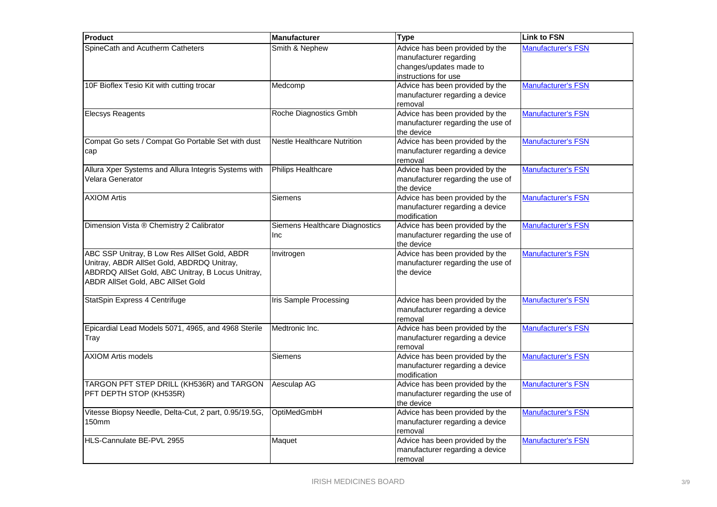| Product                                                                                                                                                                              | <b>Manufacturer</b>                   | <b>Type</b>                                                                                                  | <b>Link to FSN</b>        |
|--------------------------------------------------------------------------------------------------------------------------------------------------------------------------------------|---------------------------------------|--------------------------------------------------------------------------------------------------------------|---------------------------|
| SpineCath and Acutherm Catheters                                                                                                                                                     | Smith & Nephew                        | Advice has been provided by the<br>manufacturer regarding<br>changes/updates made to<br>instructions for use | <b>Manufacturer's FSN</b> |
| 10F Bioflex Tesio Kit with cutting trocar                                                                                                                                            | Medcomp                               | Advice has been provided by the<br>manufacturer regarding a device<br>removal                                | <b>Manufacturer's FSN</b> |
| <b>Elecsys Reagents</b>                                                                                                                                                              | Roche Diagnostics Gmbh                | Advice has been provided by the<br>manufacturer regarding the use of<br>the device                           | <b>Manufacturer's FSN</b> |
| Compat Go sets / Compat Go Portable Set with dust<br>cap                                                                                                                             | <b>Nestle Healthcare Nutrition</b>    | Advice has been provided by the<br>manufacturer regarding a device<br>removal                                | Manufacturer's FSN        |
| Allura Xper Systems and Allura Integris Systems with<br>Velara Generator                                                                                                             | <b>Philips Healthcare</b>             | Advice has been provided by the<br>manufacturer regarding the use of<br>the device                           | <b>Manufacturer's FSN</b> |
| <b>AXIOM Artis</b>                                                                                                                                                                   | Siemens                               | Advice has been provided by the<br>manufacturer regarding a device<br>modification                           | <b>Manufacturer's FSN</b> |
| Dimension Vista ® Chemistry 2 Calibrator                                                                                                                                             | Siemens Healthcare Diagnostics<br>Inc | Advice has been provided by the<br>manufacturer regarding the use of<br>the device                           | <b>Manufacturer's FSN</b> |
| ABC SSP Unitray, B Low Res AllSet Gold, ABDR<br>Unitray, ABDR AllSet Gold, ABDRDQ Unitray,<br>ABDRDQ AllSet Gold, ABC Unitray, B Locus Unitray,<br>ABDR AllSet Gold, ABC AllSet Gold | Invitrogen                            | Advice has been provided by the<br>manufacturer regarding the use of<br>the device                           | <b>Manufacturer's FSN</b> |
| StatSpin Express 4 Centrifuge                                                                                                                                                        | <b>Iris Sample Processing</b>         | Advice has been provided by the<br>manufacturer regarding a device<br>removal                                | <b>Manufacturer's FSN</b> |
| Epicardial Lead Models 5071, 4965, and 4968 Sterile<br>Tray                                                                                                                          | Medtronic Inc.                        | Advice has been provided by the<br>manufacturer regarding a device<br>removal                                | Manufacturer's FSN        |
| <b>AXIOM Artis models</b>                                                                                                                                                            | Siemens                               | Advice has been provided by the<br>manufacturer regarding a device<br>modification                           | <b>Manufacturer's FSN</b> |
| TARGON PFT STEP DRILL (KH536R) and TARGON<br>PFT DEPTH STOP (KH535R)                                                                                                                 | Aesculap AG                           | Advice has been provided by the<br>manufacturer regarding the use of<br>the device                           | <b>Manufacturer's FSN</b> |
| Vitesse Biopsy Needle, Delta-Cut, 2 part, 0.95/19.5G,<br><b>150mm</b>                                                                                                                | OptiMedGmbH                           | Advice has been provided by the<br>manufacturer regarding a device<br>removal                                | <b>Manufacturer's FSN</b> |
| HLS-Cannulate BE-PVL 2955                                                                                                                                                            | Maquet                                | Advice has been provided by the<br>manufacturer regarding a device<br>removal                                | <b>Manufacturer's FSN</b> |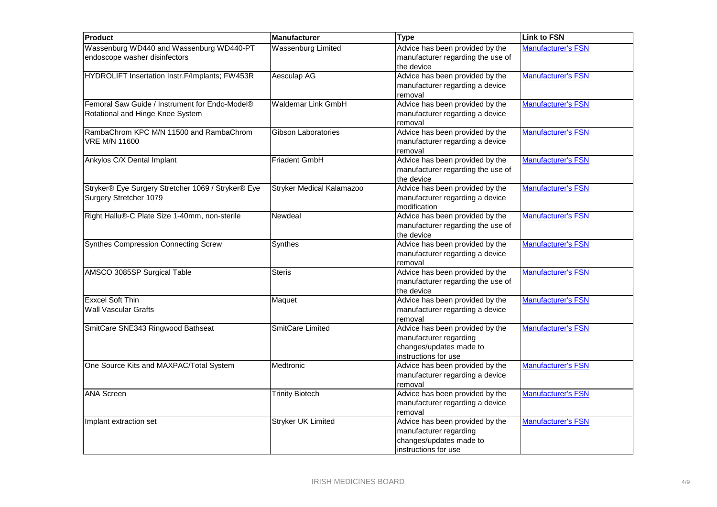| <b>Product</b>                                     | <b>Manufacturer</b>       | <b>Type</b>                       | <b>Link to FSN</b>        |
|----------------------------------------------------|---------------------------|-----------------------------------|---------------------------|
| Wassenburg WD440 and Wassenburg WD440-PT           | <b>Wassenburg Limited</b> | Advice has been provided by the   | <b>Manufacturer's FSN</b> |
| endoscope washer disinfectors                      |                           | manufacturer regarding the use of |                           |
|                                                    |                           | the device                        |                           |
| HYDROLIFT Insertation Instr.F/Implants; FW453R     | Aesculap AG               | Advice has been provided by the   | Manufacturer's FSN        |
|                                                    |                           | manufacturer regarding a device   |                           |
|                                                    |                           | removal                           |                           |
| Femoral Saw Guide / Instrument for Endo-Model®     | <b>Waldemar Link GmbH</b> | Advice has been provided by the   | Manufacturer's FSN        |
| Rotational and Hinge Knee System                   |                           | manufacturer regarding a device   |                           |
|                                                    |                           | removal                           |                           |
| RambaChrom KPC M/N 11500 and RambaChrom            | Gibson Laboratories       | Advice has been provided by the   | <b>Manufacturer's FSN</b> |
| <b>VRE M/N 11600</b>                               |                           | manufacturer regarding a device   |                           |
|                                                    |                           | removal                           |                           |
| Ankylos C/X Dental Implant                         | Friadent GmbH             | Advice has been provided by the   | <b>Manufacturer's FSN</b> |
|                                                    |                           | manufacturer regarding the use of |                           |
|                                                    |                           | the device                        |                           |
| Stryker® Eye Surgery Stretcher 1069 / Stryker® Eye | Stryker Medical Kalamazoo | Advice has been provided by the   | Manufacturer's FSN        |
| Surgery Stretcher 1079                             |                           | manufacturer regarding a device   |                           |
|                                                    |                           | modification                      |                           |
| Right Hallu®-C Plate Size 1-40mm, non-sterile      | Newdeal                   | Advice has been provided by the   | <b>Manufacturer's FSN</b> |
|                                                    |                           | manufacturer regarding the use of |                           |
|                                                    |                           | the device                        |                           |
| <b>Synthes Compression Connecting Screw</b>        | Synthes                   | Advice has been provided by the   | <b>Manufacturer's FSN</b> |
|                                                    |                           | manufacturer regarding a device   |                           |
|                                                    |                           | removal                           |                           |
| AMSCO 3085SP Surgical Table                        | <b>Steris</b>             | Advice has been provided by the   | <b>Manufacturer's FSN</b> |
|                                                    |                           | manufacturer regarding the use of |                           |
|                                                    |                           | the device                        |                           |
| <b>Exxcel Soft Thin</b>                            | Maquet                    | Advice has been provided by the   | <b>Manufacturer's FSN</b> |
| <b>Wall Vascular Grafts</b>                        |                           | manufacturer regarding a device   |                           |
|                                                    |                           | removal                           |                           |
| SmitCare SNE343 Ringwood Bathseat                  | SmitCare Limited          | Advice has been provided by the   | <b>Manufacturer's FSN</b> |
|                                                    |                           | manufacturer regarding            |                           |
|                                                    |                           | changes/updates made to           |                           |
|                                                    |                           | instructions for use              |                           |
| One Source Kits and MAXPAC/Total System            | Medtronic                 | Advice has been provided by the   | Manufacturer's FSN        |
|                                                    |                           | manufacturer regarding a device   |                           |
|                                                    |                           | removal                           |                           |
| <b>ANA Screen</b>                                  | <b>Trinity Biotech</b>    | Advice has been provided by the   | <b>Manufacturer's FSN</b> |
|                                                    |                           | manufacturer regarding a device   |                           |
|                                                    |                           | removal                           |                           |
| Implant extraction set                             | <b>Stryker UK Limited</b> | Advice has been provided by the   | <b>Manufacturer's FSN</b> |
|                                                    |                           | manufacturer regarding            |                           |
|                                                    |                           | changes/updates made to           |                           |
|                                                    |                           | instructions for use              |                           |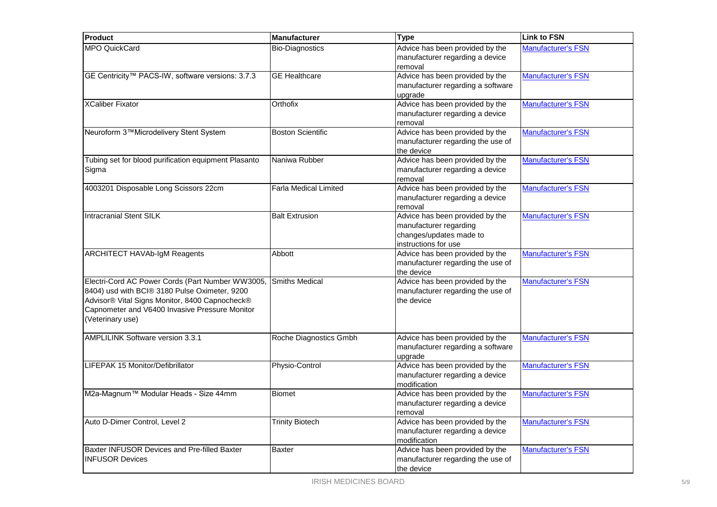| Product                                                            | Manufacturer                 | <b>Type</b>                                               | <b>Link to FSN</b>        |
|--------------------------------------------------------------------|------------------------------|-----------------------------------------------------------|---------------------------|
| <b>MPO QuickCard</b>                                               | <b>Bio-Diagnostics</b>       | Advice has been provided by the                           | <b>Manufacturer's FSN</b> |
|                                                                    |                              | manufacturer regarding a device<br>removal                |                           |
| GE Centricity™ PACS-IW, software versions: 3.7.3                   | <b>GE Healthcare</b>         | Advice has been provided by the                           | <b>Manufacturer's FSN</b> |
|                                                                    |                              | manufacturer regarding a software                         |                           |
|                                                                    |                              | upgrade                                                   |                           |
| <b>XCaliber Fixator</b>                                            | Orthofix                     | Advice has been provided by the                           | <b>Manufacturer's FSN</b> |
|                                                                    |                              | manufacturer regarding a device                           |                           |
| Neuroform 3™Microdelivery Stent System                             | <b>Boston Scientific</b>     | removal<br>Advice has been provided by the                | <b>Manufacturer's FSN</b> |
|                                                                    |                              | manufacturer regarding the use of                         |                           |
|                                                                    |                              | the device                                                |                           |
| Tubing set for blood purification equipment Plasanto               | Naniwa Rubber                | Advice has been provided by the                           | <b>Manufacturer's FSN</b> |
| Sigma                                                              |                              | manufacturer regarding a device                           |                           |
|                                                                    |                              | removal                                                   |                           |
| 4003201 Disposable Long Scissors 22cm                              | <b>Farla Medical Limited</b> | Advice has been provided by the                           | <b>Manufacturer's FSN</b> |
|                                                                    |                              | manufacturer regarding a device                           |                           |
| <b>Intracranial Stent SILK</b>                                     |                              | removal                                                   |                           |
|                                                                    | <b>Balt Extrusion</b>        | Advice has been provided by the<br>manufacturer regarding | <b>Manufacturer's FSN</b> |
|                                                                    |                              | changes/updates made to                                   |                           |
|                                                                    |                              | instructions for use                                      |                           |
| <b>ARCHITECT HAVAb-IgM Reagents</b>                                | Abbott                       | Advice has been provided by the                           | <b>Manufacturer's FSN</b> |
|                                                                    |                              | manufacturer regarding the use of                         |                           |
|                                                                    |                              | the device                                                |                           |
| Electri-Cord AC Power Cords (Part Number WW3005,                   | <b>Smiths Medical</b>        | Advice has been provided by the                           | <b>Manufacturer's FSN</b> |
| 8404) usd with BCI® 3180 Pulse Oximeter, 9200                      |                              | manufacturer regarding the use of                         |                           |
| Advisor® Vital Signs Monitor, 8400 Capnocheck®                     |                              | the device                                                |                           |
| Capnometer and V6400 Invasive Pressure Monitor<br>(Veterinary use) |                              |                                                           |                           |
|                                                                    |                              |                                                           |                           |
| <b>AMPLILINK Software version 3.3.1</b>                            | Roche Diagnostics Gmbh       | Advice has been provided by the                           | <b>Manufacturer's FSN</b> |
|                                                                    |                              | manufacturer regarding a software                         |                           |
|                                                                    |                              | upgrade                                                   |                           |
| LIFEPAK 15 Monitor/Defibrillator                                   | Physio-Control               | Advice has been provided by the                           | Manufacturer's FSN        |
|                                                                    |                              | manufacturer regarding a device                           |                           |
|                                                                    |                              | modification<br>Advice has been provided by the           | <b>Manufacturer's FSN</b> |
| M2a-Magnum™ Modular Heads - Size 44mm                              | <b>Biomet</b>                | manufacturer regarding a device                           |                           |
|                                                                    |                              | removal                                                   |                           |
| Auto D-Dimer Control, Level 2                                      | <b>Trinity Biotech</b>       | Advice has been provided by the                           | Manufacturer's FSN        |
|                                                                    |                              | manufacturer regarding a device                           |                           |
|                                                                    |                              | modification                                              |                           |
| Baxter INFUSOR Devices and Pre-filled Baxter                       | <b>Baxter</b>                | Advice has been provided by the                           | <b>Manufacturer's FSN</b> |
| <b>INFUSOR Devices</b>                                             |                              | manufacturer regarding the use of                         |                           |
|                                                                    |                              | the device                                                |                           |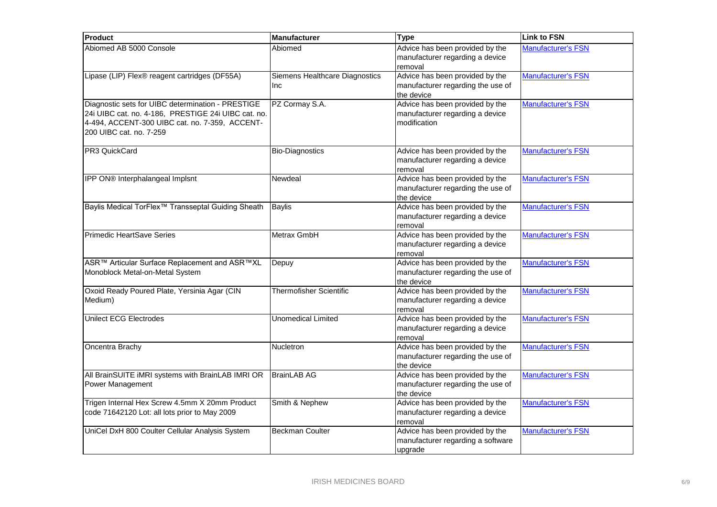| Product                                                                                                                                                                               | <b>Manufacturer</b>                   | <b>Type</b>                                                                        | <b>Link to FSN</b>        |
|---------------------------------------------------------------------------------------------------------------------------------------------------------------------------------------|---------------------------------------|------------------------------------------------------------------------------------|---------------------------|
| Abiomed AB 5000 Console                                                                                                                                                               | Abiomed                               | Advice has been provided by the<br>manufacturer regarding a device<br>removal      | <b>Manufacturer's FSN</b> |
| Lipase (LIP) Flex® reagent cartridges (DF55A)                                                                                                                                         | Siemens Healthcare Diagnostics<br>Inc | Advice has been provided by the<br>manufacturer regarding the use of<br>the device | <b>Manufacturer's FSN</b> |
| Diagnostic sets for UIBC determination - PRESTIGE<br>24i UIBC cat. no. 4-186, PRESTIGE 24i UIBC cat. no.<br>4-494, ACCENT-300 UIBC cat. no. 7-359, ACCENT-<br>200 UIBC cat. no. 7-259 | PZ Cormay S.A.                        | Advice has been provided by the<br>manufacturer regarding a device<br>modification | Manufacturer's FSN        |
| PR3 QuickCard                                                                                                                                                                         | <b>Bio-Diagnostics</b>                | Advice has been provided by the<br>manufacturer regarding a device<br>removal      | <b>Manufacturer's FSN</b> |
| IPP ON® Interphalangeal Implsnt                                                                                                                                                       | Newdeal                               | Advice has been provided by the<br>manufacturer regarding the use of<br>the device | <b>Manufacturer's FSN</b> |
| Baylis Medical TorFlex™ Transseptal Guiding Sheath                                                                                                                                    | <b>Baylis</b>                         | Advice has been provided by the<br>manufacturer regarding a device<br>removal      | <b>Manufacturer's FSN</b> |
| <b>Primedic HeartSave Series</b>                                                                                                                                                      | Metrax GmbH                           | Advice has been provided by the<br>manufacturer regarding a device<br>removal      | <b>Manufacturer's FSN</b> |
| ASR™ Articular Surface Replacement and ASR™XL<br>Monoblock Metal-on-Metal System                                                                                                      | Depuy                                 | Advice has been provided by the<br>manufacturer regarding the use of<br>the device | Manufacturer's FSN        |
| Oxoid Ready Poured Plate, Yersinia Agar (CIN<br>Medium)                                                                                                                               | Thermofisher Scientific               | Advice has been provided by the<br>manufacturer regarding a device<br>removal      | Manufacturer's FSN        |
| <b>Unilect ECG Electrodes</b>                                                                                                                                                         | <b>Unomedical Limited</b>             | Advice has been provided by the<br>manufacturer regarding a device<br>removal      | <b>Manufacturer's FSN</b> |
| Oncentra Brachy                                                                                                                                                                       | Nucletron                             | Advice has been provided by the<br>manufacturer regarding the use of<br>the device | <b>Manufacturer's FSN</b> |
| All BrainSUITE iMRI systems with BrainLAB IMRI OR<br>Power Management                                                                                                                 | <b>BrainLAB AG</b>                    | Advice has been provided by the<br>manufacturer regarding the use of<br>the device | <b>Manufacturer's FSN</b> |
| Trigen Internal Hex Screw 4.5mm X 20mm Product<br>code 71642120 Lot: all lots prior to May 2009                                                                                       | Smith & Nephew                        | Advice has been provided by the<br>manufacturer regarding a device<br>removal      | <b>Manufacturer's FSN</b> |
| UniCel DxH 800 Coulter Cellular Analysis System                                                                                                                                       | <b>Beckman Coulter</b>                | Advice has been provided by the<br>manufacturer regarding a software<br>upgrade    | <b>Manufacturer's FSN</b> |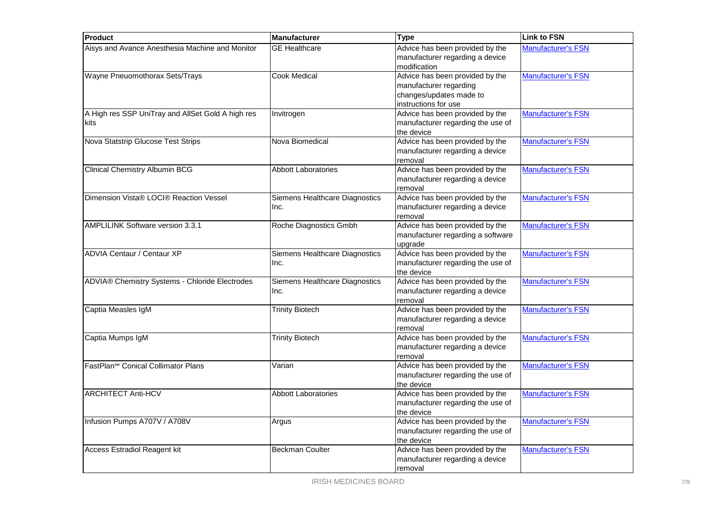| <b>Product</b>                                    | Manufacturer                   | <b>Type</b>                                     | <b>Link to FSN</b>        |
|---------------------------------------------------|--------------------------------|-------------------------------------------------|---------------------------|
| Aisys and Avance Anesthesia Machine and Monitor   | <b>GE Healthcare</b>           | Advice has been provided by the                 | <b>Manufacturer's FSN</b> |
|                                                   |                                | manufacturer regarding a device                 |                           |
|                                                   |                                | modification                                    |                           |
| Wayne Pneuomothorax Sets/Trays                    | <b>Cook Medical</b>            | Advice has been provided by the                 | <b>Manufacturer's FSN</b> |
|                                                   |                                | manufacturer regarding                          |                           |
|                                                   |                                | changes/updates made to<br>instructions for use |                           |
| A High res SSP UniTray and AllSet Gold A high res | Invitrogen                     | Advice has been provided by the                 | <b>Manufacturer's FSN</b> |
| kits                                              |                                | manufacturer regarding the use of               |                           |
|                                                   |                                | the device                                      |                           |
| Nova Statstrip Glucose Test Strips                | Nova Biomedical                | Advice has been provided by the                 | <b>Manufacturer's FSN</b> |
|                                                   |                                | manufacturer regarding a device                 |                           |
|                                                   |                                | removal                                         |                           |
| <b>Clinical Chemistry Albumin BCG</b>             | <b>Abbott Laboratories</b>     | Advice has been provided by the                 | <b>Manufacturer's FSN</b> |
|                                                   |                                | manufacturer regarding a device                 |                           |
|                                                   |                                | removal                                         |                           |
| Dimension Vista® LOCI® Reaction Vessel            | Siemens Healthcare Diagnostics | Advice has been provided by the                 | <b>Manufacturer's FSN</b> |
|                                                   | Inc.                           | manufacturer regarding a device                 |                           |
| <b>AMPLILINK Software version 3.3.1</b>           |                                | removal<br>Advice has been provided by the      | <b>Manufacturer's FSN</b> |
|                                                   | Roche Diagnostics Gmbh         | manufacturer regarding a software               |                           |
|                                                   |                                | upgrade                                         |                           |
| <b>ADVIA Centaur / Centaur XP</b>                 | Siemens Healthcare Diagnostics | Advice has been provided by the                 | <b>Manufacturer's FSN</b> |
|                                                   | Inc.                           | manufacturer regarding the use of               |                           |
|                                                   |                                | the device                                      |                           |
| ADVIA® Chemistry Systems - Chloride Electrodes    | Siemens Healthcare Diagnostics | Advice has been provided by the                 | <b>Manufacturer's FSN</b> |
|                                                   | Inc.                           | manufacturer regarding a device                 |                           |
|                                                   |                                | removal                                         |                           |
| Captia Measles IgM                                | <b>Trinity Biotech</b>         | Advice has been provided by the                 | <b>Manufacturer's FSN</b> |
|                                                   |                                | manufacturer regarding a device                 |                           |
|                                                   |                                | removal                                         |                           |
| Captia Mumps IgM                                  | <b>Trinity Biotech</b>         | Advice has been provided by the                 | <b>Manufacturer's FSN</b> |
|                                                   |                                | manufacturer regarding a device<br>removal      |                           |
| FastPlan <sup>™</sup> Conical Collimator Plans    | Varian                         | Advice has been provided by the                 | <b>Manufacturer's FSN</b> |
|                                                   |                                | manufacturer regarding the use of               |                           |
|                                                   |                                | the device                                      |                           |
| <b>ARCHITECT Anti-HCV</b>                         | <b>Abbott Laboratories</b>     | Advice has been provided by the                 | <b>Manufacturer's FSN</b> |
|                                                   |                                | manufacturer regarding the use of               |                           |
|                                                   |                                | the device                                      |                           |
| Infusion Pumps A707V / A708V                      | Argus                          | Advice has been provided by the                 | <b>Manufacturer's FSN</b> |
|                                                   |                                | manufacturer regarding the use of               |                           |
|                                                   |                                | the device                                      |                           |
| <b>Access Estradiol Reagent kit</b>               | <b>Beckman Coulter</b>         | Advice has been provided by the                 | <b>Manufacturer's FSN</b> |
|                                                   |                                | manufacturer regarding a device                 |                           |
|                                                   |                                | removal                                         |                           |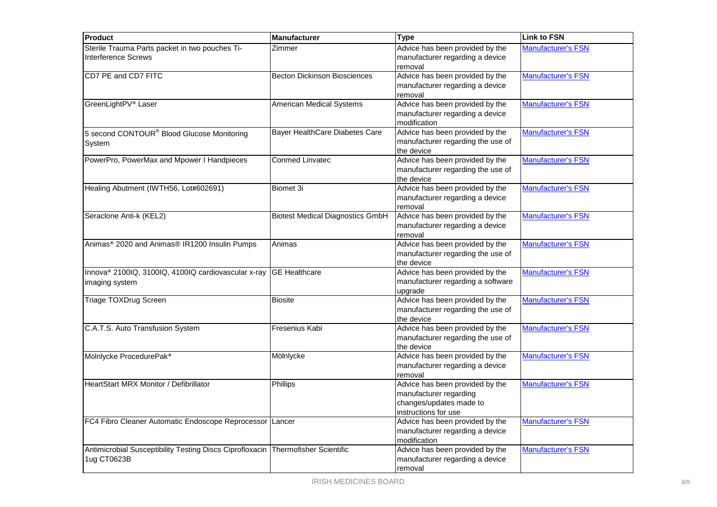| <b>Product</b>                                                                   | <b>Manufacturer</b>                     | <b>Type</b>                       | <b>Link to FSN</b>        |
|----------------------------------------------------------------------------------|-----------------------------------------|-----------------------------------|---------------------------|
| Sterile Trauma Parts packet in two pouches Ti-                                   | Zimmer                                  | Advice has been provided by the   | <b>Manufacturer's FSN</b> |
| Interference Screws                                                              |                                         | manufacturer regarding a device   |                           |
|                                                                                  |                                         | removal                           |                           |
| CD7 PE and CD7 FITC                                                              | <b>Becton Dickinson Biosciences</b>     | Advice has been provided by the   | <b>Manufacturer's FSN</b> |
|                                                                                  |                                         | manufacturer regarding a device   |                           |
|                                                                                  |                                         | removal                           |                           |
| GreenLightPV <sup>®</sup> Laser                                                  | American Medical Systems                | Advice has been provided by the   | <b>Manufacturer's FSN</b> |
|                                                                                  |                                         | manufacturer regarding a device   |                           |
|                                                                                  |                                         | modification                      |                           |
| 5 second CONTOUR® Blood Glucose Monitoring                                       | <b>Bayer HealthCare Diabetes Care</b>   | Advice has been provided by the   | <b>Manufacturer's FSN</b> |
| System                                                                           |                                         | manufacturer regarding the use of |                           |
|                                                                                  |                                         | the device                        |                           |
| PowerPro, PowerMax and Mpower I Handpieces                                       | <b>Conmed Linvatec</b>                  | Advice has been provided by the   | <b>Manufacturer's FSN</b> |
|                                                                                  |                                         | manufacturer regarding the use of |                           |
|                                                                                  |                                         | the device                        |                           |
| Healing Abutment (IWTH56, Lot#602691)                                            | Biomet 3i                               | Advice has been provided by the   | <b>Manufacturer's FSN</b> |
|                                                                                  |                                         | manufacturer regarding a device   |                           |
|                                                                                  |                                         | removal                           |                           |
| Seraclone Anti-k (KEL2)                                                          | <b>Biotest Medical Diagnostics GmbH</b> | Advice has been provided by the   | <b>Manufacturer's FSN</b> |
|                                                                                  |                                         | manufacturer regarding a device   |                           |
|                                                                                  |                                         | removal                           |                           |
| Animas® 2020 and Animas® IR1200 Insulin Pumps                                    | Animas                                  | Advice has been provided by the   | Manufacturer's FSN        |
|                                                                                  |                                         | manufacturer regarding the use of |                           |
|                                                                                  |                                         | the device                        |                           |
| Innova® 2100IQ, 3100IQ, 4100IQ cardiovascular x-ray                              | <b>GE Healthcare</b>                    | Advice has been provided by the   | Manufacturer's FSN        |
| imaging system                                                                   |                                         | manufacturer regarding a software |                           |
|                                                                                  |                                         | upgrade                           |                           |
| Triage TOXDrug Screen                                                            | <b>Biosite</b>                          | Advice has been provided by the   | <b>Manufacturer's FSN</b> |
|                                                                                  |                                         | manufacturer regarding the use of |                           |
|                                                                                  |                                         | the device                        |                           |
| C.A.T.S. Auto Transfusion System                                                 | Fresenius Kabi                          | Advice has been provided by the   | <b>Manufacturer's FSN</b> |
|                                                                                  |                                         | manufacturer regarding the use of |                           |
|                                                                                  |                                         | the device                        |                           |
| Mölnlycke ProcedurePak <sup>®</sup>                                              | Mölnlycke                               | Advice has been provided by the   | <b>Manufacturer's FSN</b> |
|                                                                                  |                                         | manufacturer regarding a device   |                           |
|                                                                                  |                                         | removal                           |                           |
| <b>HeartStart MRX Monitor / Defibrillator</b>                                    | Phillips                                | Advice has been provided by the   | <b>Manufacturer's FSN</b> |
|                                                                                  |                                         | manufacturer regarding            |                           |
|                                                                                  |                                         | changes/updates made to           |                           |
|                                                                                  |                                         | instructions for use              |                           |
| FC4 Fibro Cleaner Automatic Endoscope Reprocessor Lancer                         |                                         | Advice has been provided by the   | <b>Manufacturer's FSN</b> |
|                                                                                  |                                         | manufacturer regarding a device   |                           |
|                                                                                  |                                         | modification                      |                           |
| Antimicrobial Susceptibility Testing Discs Ciprofloxacin Thermofisher Scientific |                                         | Advice has been provided by the   | Manufacturer's FSN        |
| 1ug CT0623B                                                                      |                                         | manufacturer regarding a device   |                           |
|                                                                                  |                                         | removal                           |                           |